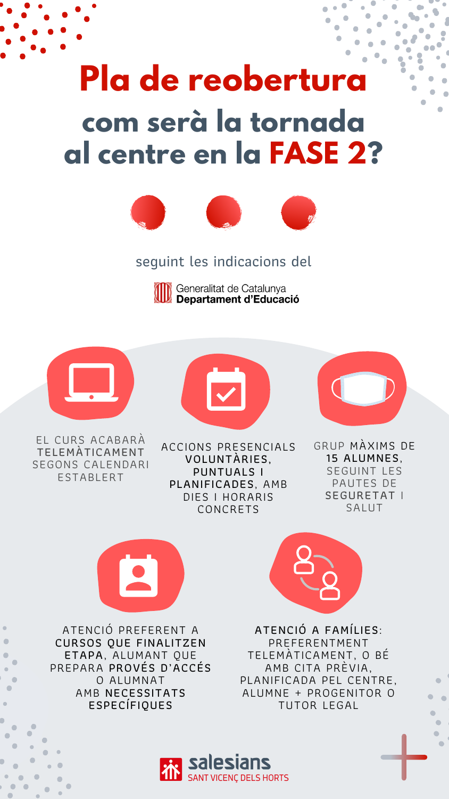ESTABLERT

SEGUINT LES PAUTES DE SEGURETAT I

SALUT



# **Pla de reobertura com serà la tornada al centre en la FASE 2?**



ATENCIÓ PREFERENT A CURSOS QUE FINALITZEN ETAPA, ALUMANT QUE PREPARA PROVÉS D'ACCÉS O ALUMNAT AMB NECESSITATS ESPECÍFIQUES





ATENCIÓ A FAMÍLIES: PREFERENTMENT TELEMÀTICAMENT, O BÉ AMB CITA PRÈVIA, PLANIFICADA PEL CENTRE, ALUMNE + PROGENITOR O TUTOR LEGAL



#### seguint les indicacions del



PLANIFICADES, AMB DIES I HORARIS

#### CONCRETS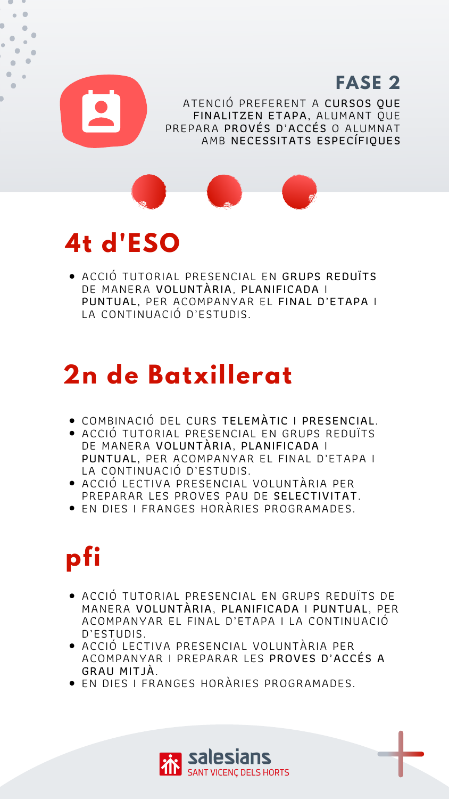- COMBINACIÓ DEL CURS TELEMÀTIC I PRESENCIAL.
- ACCIÓ TUTORIAL PRESENCIAL EN GRUPS REDUÏTS DE MANERA VOLUNTÀRIA, PLANIFICADA I PUNTUAL, PER ACOMPANYAR EL FINAL D'ETAPA I LA CONTINUACIÓ D'ESTUDIS.
- ACCIÓ LECTIVA PRESENCIAL VOLUNTÀRIA PER PREPARAR LES PROVES PAU DE SELECTIVITAT. EN DIES I FRANGES HORÀRIES PROGRAMADES.

- ACCIÓ TUTORIAL PRESENCIAL EN GRUPS REDUÏTS DE MANERA VOLUNTÀRIA, PLANIFICADA I PUNTUAL, PER ACOMPANYAR EL FINAL D'ETAPA I LA CONTINUACIÓ D'ESTUDIS.
- ACCIÓ LECTIVA PRESENCIAL VOLUNTÀRIA PER ACOMPANYAR I PREPARAR LES PROVES D'ACCÉS A GRAU MITJÀ.
- EN DIES I FRANGES HORÀRIES PROGRAMADES.





ATENCIÓ PREFERENT A CURSOS QUE FINALITZEN ETAPA, ALUMANT QUE PREPARA PROVÉS D'ACCÉS O ALUMNAT AMB NECESSITATS ESPECÍFIQUES **FASE 2**



### **4t d'ESO**

## **2n de Batxillerat**

## **pfi**

ACCIÓ TUTORIAL PRESENCIAL EN GRUPS REDUÏTS DE MANERA VOLUNTÀRIA, PLANIFICADA I PUNTUAL, PER ACOMPANYAR EL FINAL D'ETAPA I LA CONTINUACIÓ D'ESTUDIS.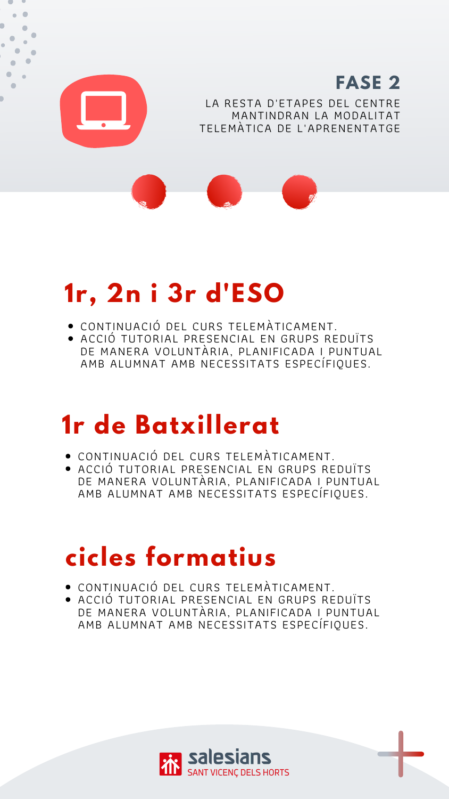## **1r, 2n i 3r d'ESO**

## **1r de Batxillerat**

### **cicles formatius**

- CONTINUACIÓ DEL CURS TELEMÀTICAMENT.
- ACCIÓ TUTORIAL PRESENCIAL EN GRUPS REDUÏTS DE MANERA VOLUNTÀRIA, PLANIFICADA I PUNTUAL AMB ALUMNAT AMB NECESSITATS ESPECÍFIQUES.



#### LA RESTA D'ETAPES DEL CENTRE MANTINDRAN LA MODALITAT TELEMÀTICA DE L'APRENENTATGE **FASE 2**



- CONTINUACIÓ DEL CURS TELEMÀTICAMENT.
- ACCIÓ TUTORIAL PRESENCIAL EN GRUPS REDUÏTS DE MANERA VOLUNTÀRIA, PLANIFICADA I PUNTUAL AMB ALUMNAT AMB NECESSITATS ESPECÍFIQUES.

- CONTINUACIÓ DEL CURS TELEMÀTICAMENT.
- ACCIÓ TUTORIAL PRESENCIAL EN GRUPS REDUÏTS DE MANERA VOLUNTÀRIA, PLANIFICADA I PUNTUAL AMB ALUMNAT AMB NECESSITATS ESPECÍFIQUES.